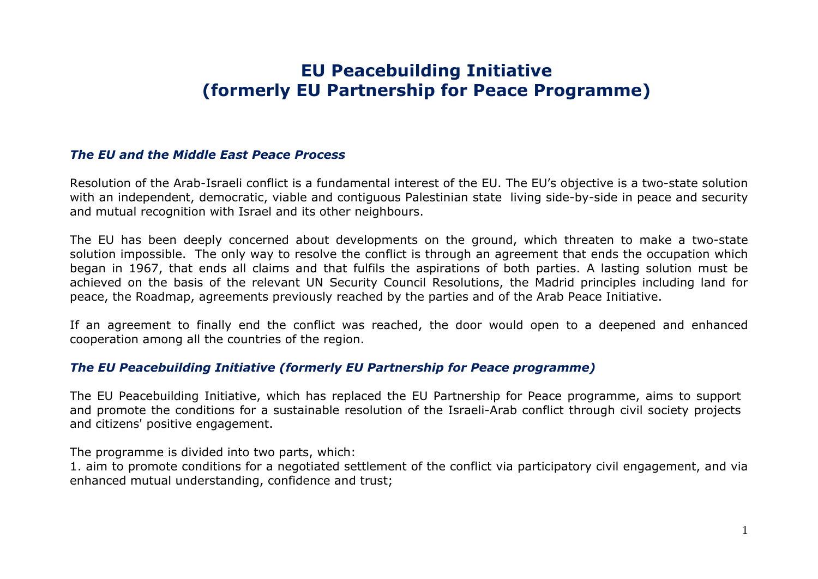# **EU Peacebuilding Initiative (formerly EU Partnership for Peace Programme)**

### *The EU and the Middle East Peace Process*

Resolution of the Arab-Israeli conflict is a fundamental interest of the EU. The EU's objective is a two-state solution with an independent, democratic, viable and contiguous Palestinian state living side-by-side in peace and security and mutual recognition with Israel and its other neighbours.

The EU has been deeply concerned about developments on the ground, which threaten to make a two-state solution impossible. The only way to resolve the conflict is through an agreement that ends the occupation which began in 1967, that ends all claims and that fulfils the aspirations of both parties. A lasting solution must be achieved on the basis of the relevant UN Security Council Resolutions, the Madrid principles including land for peace, the Roadmap, agreements previously reached by the parties and of the Arab Peace Initiative.

If an agreement to finally end the conflict was reached, the door would open to a deepened and enhanced cooperation among all the countries of the region.

### *The EU Peacebuilding Initiative (formerly EU Partnership for Peace programme)*

The EU Peacebuilding Initiative, which has replaced the EU Partnership for Peace programme, aims to support and promote the conditions for a sustainable resolution of the Israeli-Arab conflict through civil society projects and citizens' positive engagement.

The programme is divided into two parts, which:

1. aim to promote conditions for a negotiated settlement of the conflict via participatory civil engagement, and via enhanced mutual understanding, confidence and trust;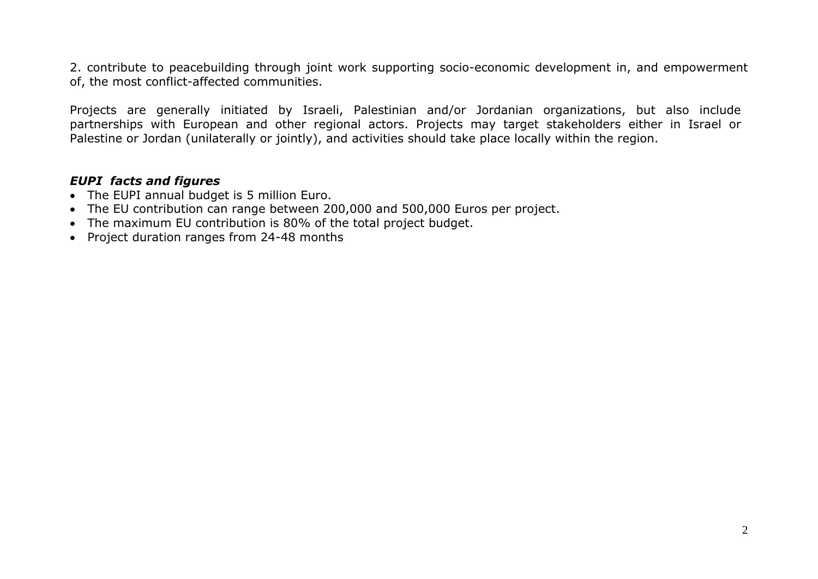2. contribute to peacebuilding through joint work supporting socio-economic development in, and empowerment of, the most conflict-affected communities.

Projects are generally initiated by Israeli, Palestinian and/or Jordanian organizations, but also include partnerships with European and other regional actors. Projects may target stakeholders either in Israel or Palestine or Jordan (unilaterally or jointly), and activities should take place locally within the region.

### *EUPI facts and figures*

- The EUPI annual budget is 5 million Euro.
- The EU contribution can range between 200,000 and 500,000 Euros per project.
- The maximum EU contribution is 80% of the total project budget.
- Project duration ranges from 24-48 months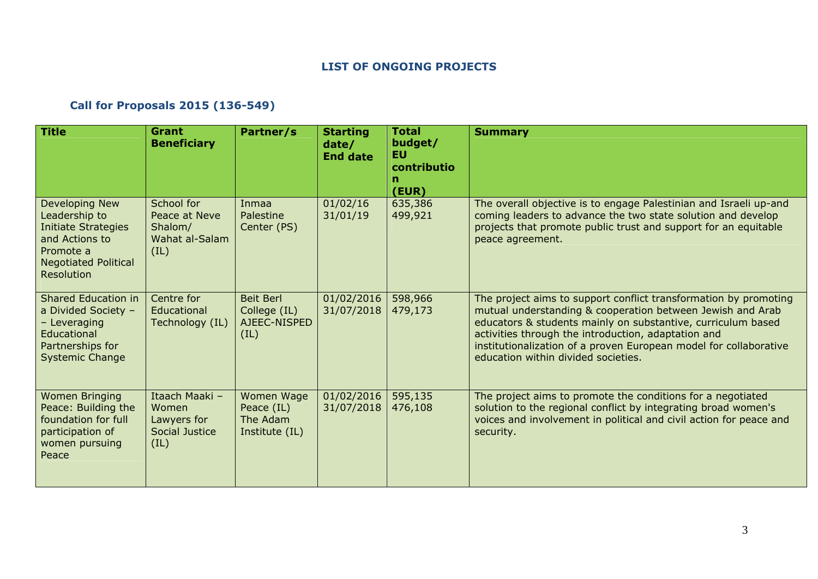#### **LIST OF ONGOING PROJECTS**

## **Call for Proposals 2015 (136-549)**

| <b>Title</b>                                                                                                                              | <b>Grant</b><br><b>Beneficiary</b>                               | Partner/s                                                | <b>Starting</b><br>date/<br><b>End date</b> | <b>Total</b><br>budget/<br>EU.<br>contributio<br>(EUR) | <b>Summary</b>                                                                                                                                                                                                                                                                                                                                                    |
|-------------------------------------------------------------------------------------------------------------------------------------------|------------------------------------------------------------------|----------------------------------------------------------|---------------------------------------------|--------------------------------------------------------|-------------------------------------------------------------------------------------------------------------------------------------------------------------------------------------------------------------------------------------------------------------------------------------------------------------------------------------------------------------------|
| Developing New<br>Leadership to<br><b>Initiate Strategies</b><br>and Actions to<br>Promote a<br><b>Negotiated Political</b><br>Resolution | School for<br>Peace at Neve<br>Shalom/<br>Wahat al-Salam<br>(IL) | Inmaa<br>Palestine<br>Center (PS)                        | 01/02/16<br>31/01/19                        | 635,386<br>499,921                                     | The overall objective is to engage Palestinian and Israeli up-and<br>coming leaders to advance the two state solution and develop<br>projects that promote public trust and support for an equitable<br>peace agreement.                                                                                                                                          |
| Shared Education in<br>a Divided Society -<br>- Leveraging<br>Educational<br>Partnerships for<br><b>Systemic Change</b>                   | Centre for<br>Educational<br>Technology (IL)                     | <b>Beit Berl</b><br>College (IL)<br>AJEEC-NISPED<br>(IL) | 01/02/2016<br>31/07/2018                    | 598,966<br>479,173                                     | The project aims to support conflict transformation by promoting<br>mutual understanding & cooperation between Jewish and Arab<br>educators & students mainly on substantive, curriculum based<br>activities through the introduction, adaptation and<br>institutionalization of a proven European model for collaborative<br>education within divided societies. |
| <b>Women Bringing</b><br>Peace: Building the<br>foundation for full<br>participation of<br>women pursuing<br>Peace                        | Itaach Maaki -<br>Women<br>Lawyers for<br>Social Justice<br>(IL) | Women Wage<br>Peace (IL)<br>The Adam<br>Institute (IL)   | 01/02/2016<br>31/07/2018                    | 595,135<br>476,108                                     | The project aims to promote the conditions for a negotiated<br>solution to the regional conflict by integrating broad women's<br>voices and involvement in political and civil action for peace and<br>security.                                                                                                                                                  |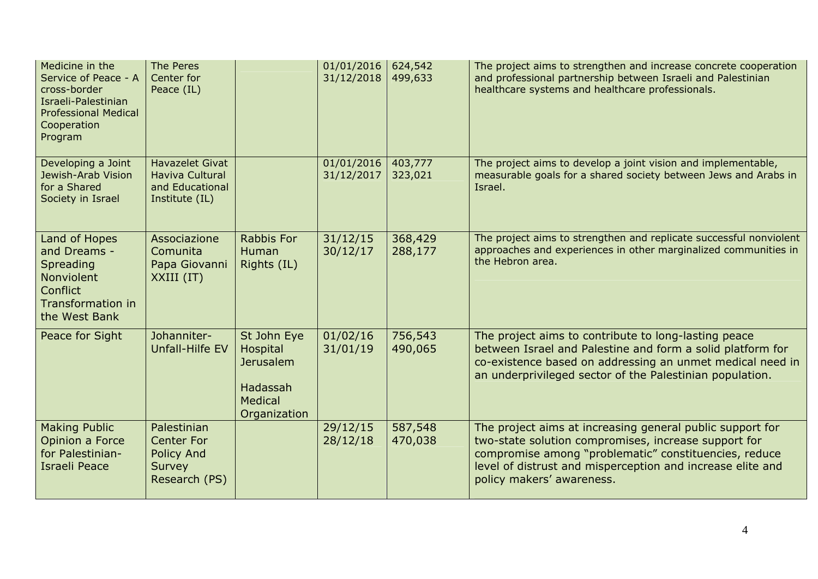| Medicine in the<br>Service of Peace - A<br>cross-border<br>Israeli-Palestinian<br><b>Professional Medical</b><br>Cooperation<br>Program | The Peres<br>Center for<br>Peace (IL)                                            |                                                                                    | 01/01/2016<br>31/12/2018 | 624,542<br>499,633 | The project aims to strengthen and increase concrete cooperation<br>and professional partnership between Israeli and Palestinian<br>healthcare systems and healthcare professionals.                                                                                  |
|-----------------------------------------------------------------------------------------------------------------------------------------|----------------------------------------------------------------------------------|------------------------------------------------------------------------------------|--------------------------|--------------------|-----------------------------------------------------------------------------------------------------------------------------------------------------------------------------------------------------------------------------------------------------------------------|
| Developing a Joint<br>Jewish-Arab Vision<br>for a Shared<br>Society in Israel                                                           | <b>Havazelet Givat</b><br>Haviva Cultural<br>and Educational<br>Institute (IL)   |                                                                                    | 01/01/2016<br>31/12/2017 | 403,777<br>323,021 | The project aims to develop a joint vision and implementable,<br>measurable goals for a shared society between Jews and Arabs in<br>Israel.                                                                                                                           |
| Land of Hopes<br>and Dreams -<br>Spreading<br>Nonviolent<br><b>Conflict</b><br><b>Transformation in</b><br>the West Bank                | Associazione<br>Comunita<br>Papa Giovanni<br>XXIII (IT)                          | <b>Rabbis For</b><br><b>Human</b><br>Rights (IL)                                   | 31/12/15<br>30/12/17     | 368,429<br>288,177 | The project aims to strengthen and replicate successful nonviolent<br>approaches and experiences in other marginalized communities in<br>the Hebron area.                                                                                                             |
| Peace for Sight                                                                                                                         | Johanniter-<br>Unfall-Hilfe EV                                                   | St John Eye<br>Hospital<br><b>Jerusalem</b><br>Hadassah<br>Medical<br>Organization | 01/02/16<br>31/01/19     | 756,543<br>490,065 | The project aims to contribute to long-lasting peace<br>between Israel and Palestine and form a solid platform for<br>co-existence based on addressing an unmet medical need in<br>an underprivileged sector of the Palestinian population.                           |
| <b>Making Public</b><br>Opinion a Force<br>for Palestinian-<br><b>Israeli Peace</b>                                                     | Palestinian<br><b>Center For</b><br><b>Policy And</b><br>Survey<br>Research (PS) |                                                                                    | 29/12/15<br>28/12/18     | 587,548<br>470,038 | The project aims at increasing general public support for<br>two-state solution compromises, increase support for<br>compromise among "problematic" constituencies, reduce<br>level of distrust and misperception and increase elite and<br>policy makers' awareness. |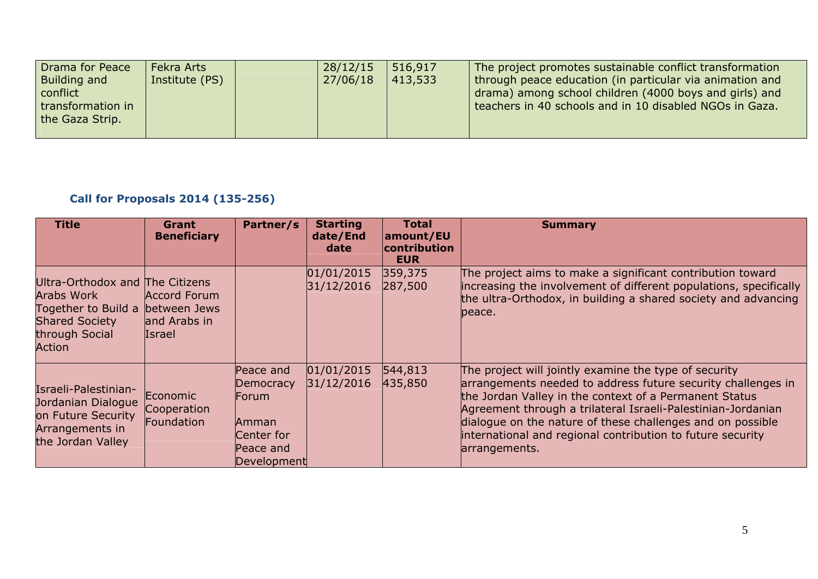| Drama for Peace<br><b>Building and</b><br>conflict<br>transformation in<br>the Gaza Strip. | Fekra Arts<br>Institute (PS) |  | 28/12/15<br>27/06/18 | 516,917<br>413,533 | The project promotes sustainable conflict transformation<br>through peace education (in particular via animation and<br>drama) among school children (4000 boys and girls) and<br>teachers in 40 schools and in 10 disabled NGOs in Gaza. |
|--------------------------------------------------------------------------------------------|------------------------------|--|----------------------|--------------------|-------------------------------------------------------------------------------------------------------------------------------------------------------------------------------------------------------------------------------------------|
|--------------------------------------------------------------------------------------------|------------------------------|--|----------------------|--------------------|-------------------------------------------------------------------------------------------------------------------------------------------------------------------------------------------------------------------------------------------|

## **Call for Proposals 2014 (135-256)**

| <b>Title</b>                                                                                                              | Grant<br><b>Beneficiary</b>                                   | Partner/s                                                                          | <b>Starting</b><br>date/End<br>date | <b>Total</b><br>amount/EU<br>contribution<br><b>EUR</b> | <b>Summary</b>                                                                                                                                                                                                                                                                                                                                                                               |
|---------------------------------------------------------------------------------------------------------------------------|---------------------------------------------------------------|------------------------------------------------------------------------------------|-------------------------------------|---------------------------------------------------------|----------------------------------------------------------------------------------------------------------------------------------------------------------------------------------------------------------------------------------------------------------------------------------------------------------------------------------------------------------------------------------------------|
| Ultra-Orthodox and The Citizens<br>Arabs Work<br>Together to Build a<br><b>Shared Society</b><br>through Social<br>Action | Accord Forum<br>between Jews<br>and Arabs in<br><b>Israel</b> |                                                                                    | 01/01/2015<br>31/12/2016            | 359,375<br>287,500                                      | The project aims to make a significant contribution toward<br>increasing the involvement of different populations, specifically<br>the ultra-Orthodox, in building a shared society and advancing<br>lpeace.                                                                                                                                                                                 |
| Israeli-Palestinian-<br>Jordanian Dialogue<br>on Future Security<br>Arrangements in<br>the Jordan Valley                  | Economic<br>Cooperation<br>Foundation                         | Peace and<br>Democracy<br>Forum<br>Amman<br>Center for<br>Peace and<br>Development | 01/01/2015<br>31/12/2016            | 544,813<br>435,850                                      | The project will jointly examine the type of security<br>arrangements needed to address future security challenges in<br>the Jordan Valley in the context of a Permanent Status<br>Agreement through a trilateral Israeli-Palestinian-Jordanian<br>dialogue on the nature of these challenges and on possible<br>international and regional contribution to future security<br>arrangements. |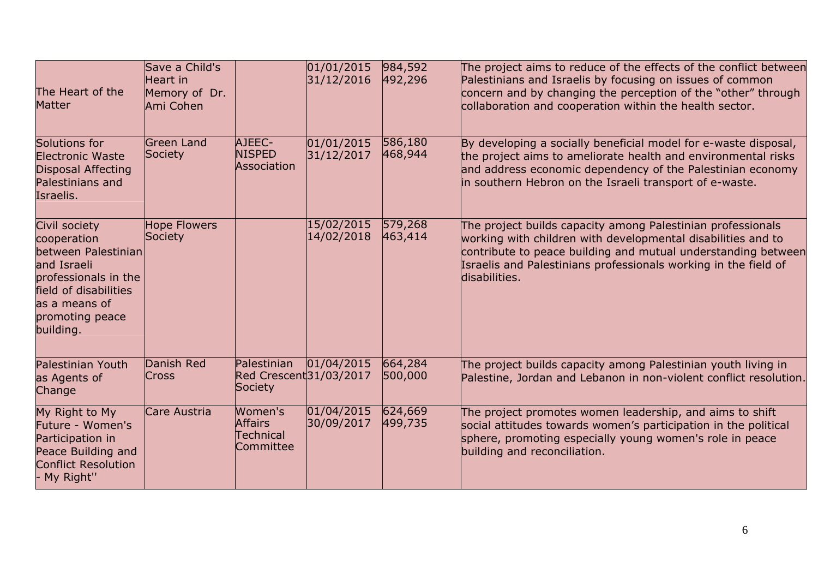| The Heart of the<br><b>Matter</b>                                                                                                                                    | Save a Child's<br>Heart in<br>Memory of Dr.<br>Ami Cohen |                                                     | 01/01/2015<br>31/12/2016 | 984,592<br>492,296 | The project aims to reduce of the effects of the conflict between<br>Palestinians and Israelis by focusing on issues of common<br>concern and by changing the perception of the "other" through<br>collaboration and cooperation within the health sector.                       |
|----------------------------------------------------------------------------------------------------------------------------------------------------------------------|----------------------------------------------------------|-----------------------------------------------------|--------------------------|--------------------|----------------------------------------------------------------------------------------------------------------------------------------------------------------------------------------------------------------------------------------------------------------------------------|
| Solutions for<br><b>Electronic Waste</b><br><b>Disposal Affecting</b><br>Palestinians and<br>Israelis.                                                               | <b>Green Land</b><br><b>Society</b>                      | AJEEC-<br><b>NISPED</b><br>Association              | 01/01/2015<br>31/12/2017 | 586,180<br>468,944 | By developing a socially beneficial model for e-waste disposal,<br>the project aims to ameliorate health and environmental risks<br>and address economic dependency of the Palestinian economy<br>in southern Hebron on the Israeli transport of e-waste.                        |
| Civil society<br>cooperation<br>between Palestinian<br>and Israeli<br>professionals in the<br>field of disabilities<br>as a means of<br>promoting peace<br>building. | <b>Hope Flowers</b><br>Society                           |                                                     | 15/02/2015<br>14/02/2018 | 579,268<br>463,414 | The project builds capacity among Palestinian professionals<br>working with children with developmental disabilities and to<br>contribute to peace building and mutual understanding between<br>Israelis and Palestinians professionals working in the field of<br>disabilities. |
| <b>Palestinian Youth</b><br>as Agents of<br>Change                                                                                                                   | Danish Red<br><b>Cross</b>                               | Palestinian<br>Red Crescent 31/03/2017<br>Society   | 01/04/2015               | 664,284<br>500,000 | The project builds capacity among Palestinian youth living in<br>Palestine, Jordan and Lebanon in non-violent conflict resolution.                                                                                                                                               |
| My Right to My<br>Future - Women's<br>Participation in<br>Peace Building and<br><b>Conflict Resolution</b><br>- My Right"                                            | Care Austria                                             | Women's<br><b>Affairs</b><br>Technical<br>Committee | 01/04/2015<br>30/09/2017 | 624,669<br>499,735 | The project promotes women leadership, and aims to shift<br>social attitudes towards women's participation in the political<br>sphere, promoting especially young women's role in peace<br>building and reconciliation.                                                          |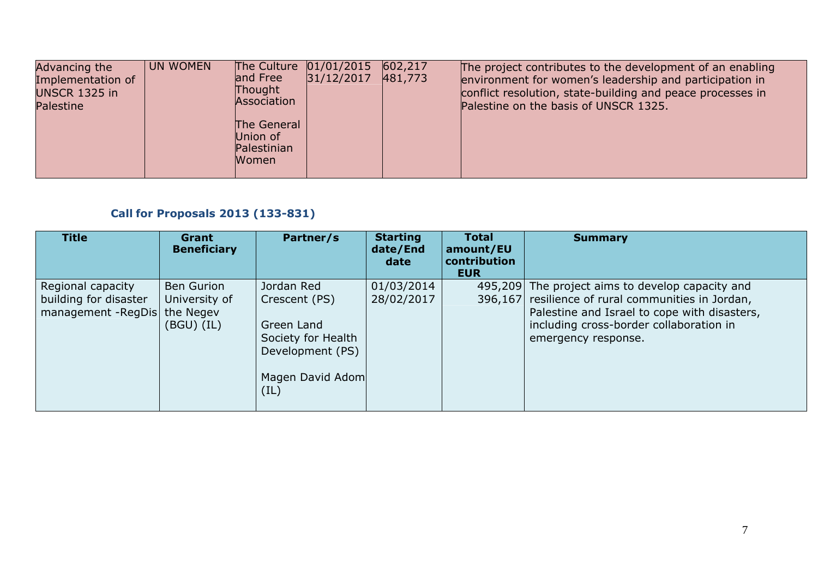| Advancing the<br>Implementation of<br><b>UNSCR 1325 in</b><br>Palestine | <b>UN WOMEN</b> | and Free<br>Thought<br>Association<br>The General<br>Union of<br>Palestinian<br><b>Women</b> | The Culture 01/01/2015<br>31/12/2017 | 602,217<br>481,773 | The project contributes to the development of an enabling<br>environment for women's leadership and participation in<br>conflict resolution, state-building and peace processes in<br>Palestine on the basis of UNSCR 1325. |
|-------------------------------------------------------------------------|-----------------|----------------------------------------------------------------------------------------------|--------------------------------------|--------------------|-----------------------------------------------------------------------------------------------------------------------------------------------------------------------------------------------------------------------------|
|-------------------------------------------------------------------------|-----------------|----------------------------------------------------------------------------------------------|--------------------------------------|--------------------|-----------------------------------------------------------------------------------------------------------------------------------------------------------------------------------------------------------------------------|

## **Call for Proposals 2013 (133-831)**

| <b>Title</b>                                                      | Grant<br><b>Beneficiary</b>                                       | Partner/s                                                                                                       | <b>Starting</b><br>date/End<br>date | <b>Total</b><br>amount/EU<br>contribution<br><b>EUR</b> | <b>Summary</b>                                                                                                                                                                                                           |
|-------------------------------------------------------------------|-------------------------------------------------------------------|-----------------------------------------------------------------------------------------------------------------|-------------------------------------|---------------------------------------------------------|--------------------------------------------------------------------------------------------------------------------------------------------------------------------------------------------------------------------------|
| Regional capacity<br>building for disaster<br>management - RegDis | <b>Ben Gurion</b><br>University of<br>the Negev<br>$(BGU)$ $(IL)$ | Jordan Red<br>Crescent (PS)<br>Green Land<br>Society for Health<br>Development (PS)<br>Magen David Adom<br>(IL) | 01/03/2014<br>28/02/2017            |                                                         | 495,209 The project aims to develop capacity and<br>396,167 resilience of rural communities in Jordan,<br>Palestine and Israel to cope with disasters,<br>including cross-border collaboration in<br>emergency response. |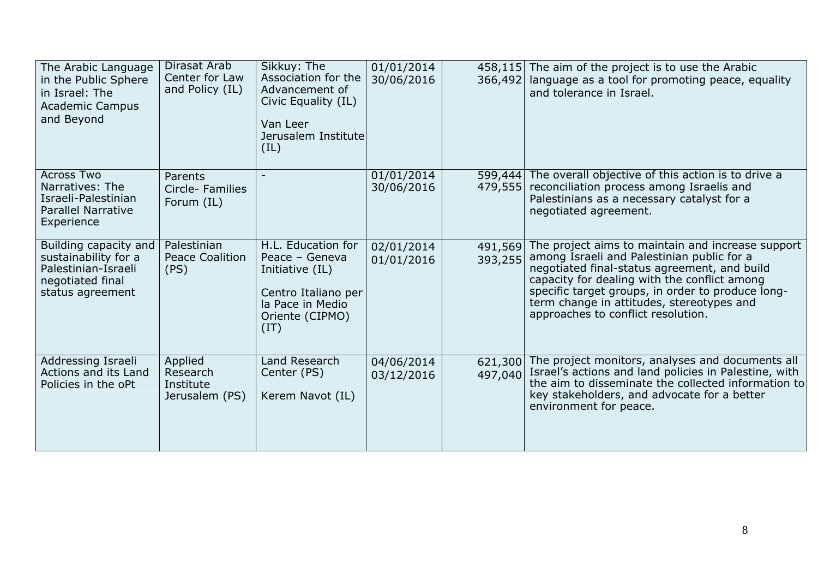| The Arabic Language<br>in the Public Sphere<br>in Israel: The<br><b>Academic Campus</b><br>and Beyond        | Dirasat Arab<br>Center for Law<br>and Policy (IL)  | Sikkuy: The<br>Association for the<br>Advancement of<br>Civic Equality (IL)<br>Van Leer<br>Jerusalem Institute<br>(IL)        | 01/01/2014<br>30/06/2016 | 366,492            | 458,115 The aim of the project is to use the Arabic<br>language as a tool for promoting peace, equality<br>and tolerance in Israel.                                                                                                                                                                                                     |
|--------------------------------------------------------------------------------------------------------------|----------------------------------------------------|-------------------------------------------------------------------------------------------------------------------------------|--------------------------|--------------------|-----------------------------------------------------------------------------------------------------------------------------------------------------------------------------------------------------------------------------------------------------------------------------------------------------------------------------------------|
| <b>Across Two</b><br>Narratives: The<br>Israeli-Palestinian<br><b>Parallel Narrative</b><br>Experience       | Parents<br>Circle-Families<br>Forum (IL)           |                                                                                                                               | 01/01/2014<br>30/06/2016 | 599,444<br>479,555 | The overall objective of this action is to drive a<br>reconciliation process among Israelis and<br>Palestinians as a necessary catalyst for a<br>negotiated agreement.                                                                                                                                                                  |
| Building capacity and<br>sustainability for a<br>Palestinian-Israeli<br>negotiated final<br>status agreement | Palestinian<br><b>Peace Coalition</b><br>(PS)      | H.L. Education for<br>Peace - Geneva<br>Initiative (IL)<br>Centro Italiano per<br>la Pace in Medio<br>Oriente (CIPMO)<br>(IT) | 02/01/2014<br>01/01/2016 | 491,569<br>393,255 | The project aims to maintain and increase support<br>among Israeli and Palestinian public for a<br>negotiated final-status agreement, and build<br>capacity for dealing with the conflict among<br>specific target groups, in order to produce long-<br>term change in attitudes, stereotypes and<br>approaches to conflict resolution. |
| Addressing Israeli<br>Actions and its Land<br>Policies in the oPt                                            | Applied<br>Research<br>Institute<br>Jerusalem (PS) | Land Research<br>Center (PS)<br>Kerem Navot (IL)                                                                              | 04/06/2014<br>03/12/2016 | 621,300<br>497,040 | The project monitors, analyses and documents all<br>Israel's actions and land policies in Palestine, with<br>the aim to disseminate the collected information to<br>key stakeholders, and advocate for a better<br>environment for peace.                                                                                               |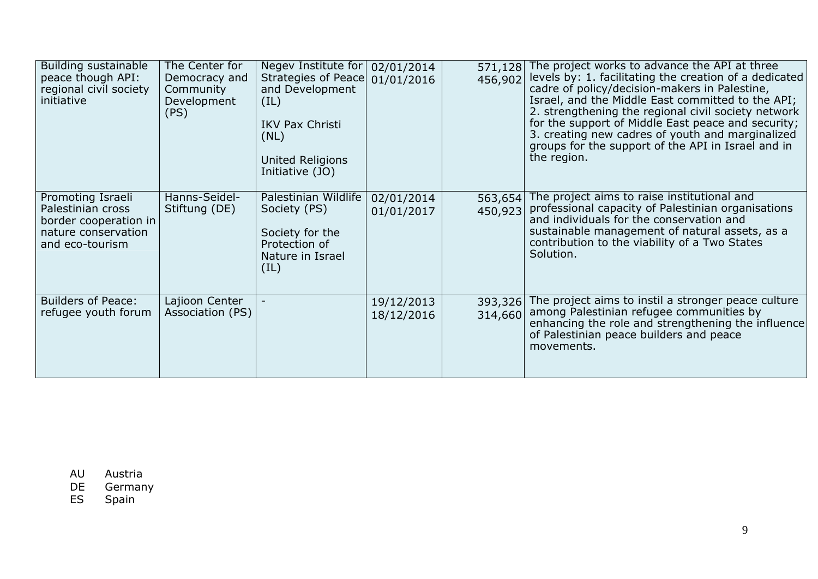| Building sustainable<br>peace though API:<br>regional civil society<br>initiative                         | The Center for<br>Democracy and<br>Community<br>Development<br>(PS) | Negev Institute for<br>Strategies of Peace 01/01/2016<br>and Development<br>(IL)<br><b>IKV Pax Christi</b><br>(NL)<br>United Religions<br>Initiative (JO) | 02/01/2014               | 571,128<br>456,902 | The project works to advance the API at three<br>levels by: 1. facilitating the creation of a dedicated<br>cadre of policy/decision-makers in Palestine,<br>Israel, and the Middle East committed to the API;<br>2. strengthening the regional civil society network<br>for the support of Middle East peace and security;<br>3. creating new cadres of youth and marginalized<br>groups for the support of the API in Israel and in<br>the region. |
|-----------------------------------------------------------------------------------------------------------|---------------------------------------------------------------------|-----------------------------------------------------------------------------------------------------------------------------------------------------------|--------------------------|--------------------|-----------------------------------------------------------------------------------------------------------------------------------------------------------------------------------------------------------------------------------------------------------------------------------------------------------------------------------------------------------------------------------------------------------------------------------------------------|
| Promoting Israeli<br>Palestinian cross<br>border cooperation in<br>nature conservation<br>and eco-tourism | Hanns-Seidel-<br>Stiftung (DE)                                      | Palestinian Wildlife<br>Society (PS)<br>Society for the<br>Protection of<br>Nature in Israel<br>(IL)                                                      | 02/01/2014<br>01/01/2017 | 563,654<br>450,923 | The project aims to raise institutional and<br>professional capacity of Palestinian organisations<br>and individuals for the conservation and<br>sustainable management of natural assets, as a<br>contribution to the viability of a Two States<br>Solution.                                                                                                                                                                                       |
| <b>Builders of Peace:</b><br>refugee youth forum                                                          | Lajioon Center<br>Association (PS)                                  |                                                                                                                                                           | 19/12/2013<br>18/12/2016 | 393,326<br>314,660 | The project aims to instil a stronger peace culture<br>among Palestinian refugee communities by<br>enhancing the role and strengthening the influence<br>of Palestinian peace builders and peace<br>movements.                                                                                                                                                                                                                                      |

AU Austria

DE Germany<br>ES Spain

Spain